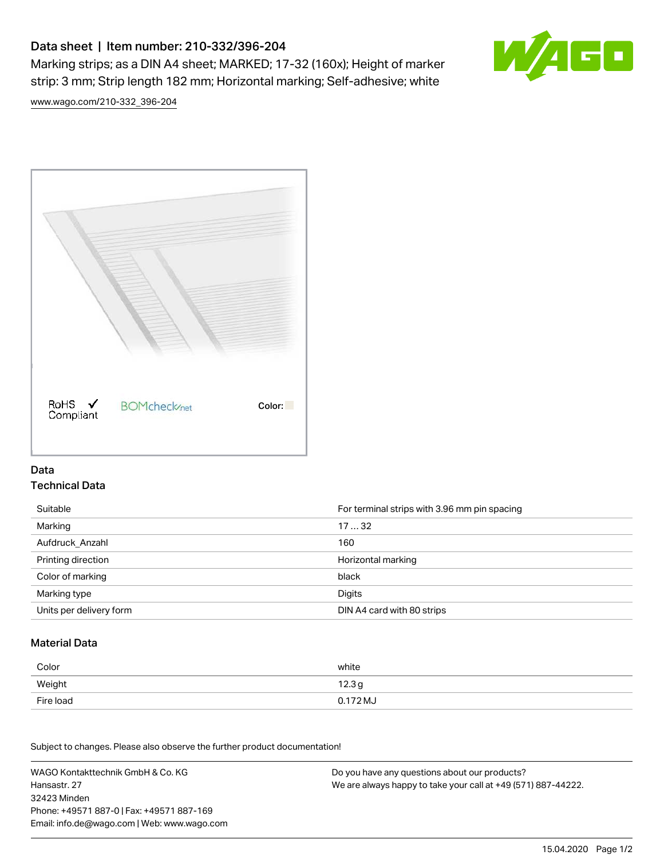# Data sheet | Item number: 210-332/396-204

Marking strips; as a DIN A4 sheet; MARKED; 17-32 (160x); Height of marker strip: 3 mm; Strip length 182 mm; Horizontal marking; Self-adhesive; white



[www.wago.com/210-332\\_396-204](http://www.wago.com/210-332_396-204)



### Data Technical Data

| Suitable                | For terminal strips with 3.96 mm pin spacing |
|-------------------------|----------------------------------------------|
| Marking                 | 1732                                         |
| Aufdruck Anzahl         | 160                                          |
| Printing direction      | Horizontal marking                           |
| Color of marking        | black                                        |
| Marking type            | Digits                                       |
| Units per delivery form | DIN A4 card with 80 strips                   |

#### Material Data

| Color     | white             |
|-----------|-------------------|
| Weight    | 12.3 <sub>g</sub> |
| Fire load | 0.172 MJ          |

Subject to changes. Please also observe the further product documentation!

WAGO Kontakttechnik GmbH & Co. KG Hansastr. 27 32423 Minden Phone: +49571 887-0 | Fax: +49571 887-169 Email: info.de@wago.com | Web: www.wago.com Do you have any questions about our products? We are always happy to take your call at +49 (571) 887-44222.